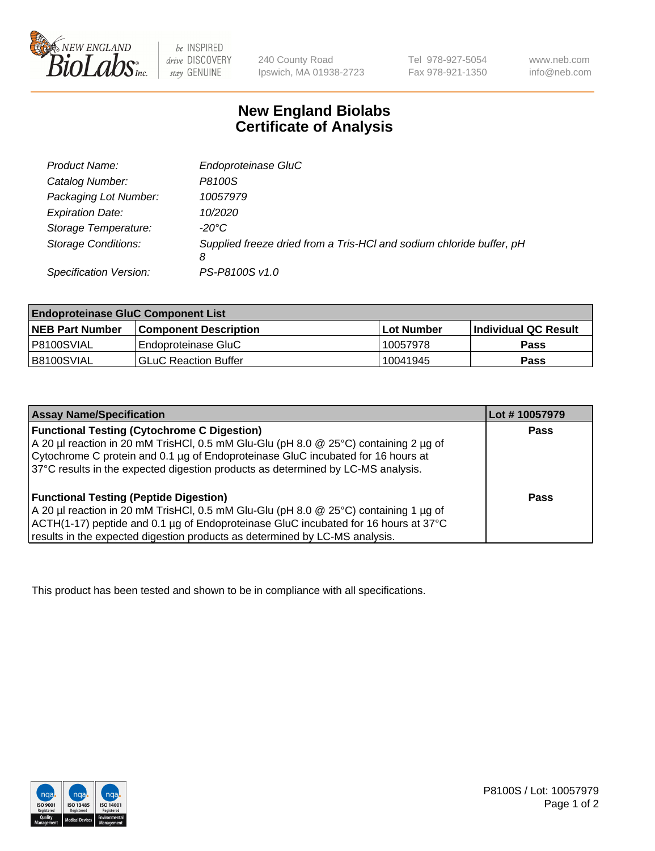

 $be$  INSPIRED drive DISCOVERY stay GENUINE

240 County Road Ipswich, MA 01938-2723 Tel 978-927-5054 Fax 978-921-1350 www.neb.com info@neb.com

## **New England Biolabs Certificate of Analysis**

| Product Name:              | Endoproteinase GluC                                                       |
|----------------------------|---------------------------------------------------------------------------|
| Catalog Number:            | P8100S                                                                    |
| Packaging Lot Number:      | 10057979                                                                  |
| <b>Expiration Date:</b>    | 10/2020                                                                   |
| Storage Temperature:       | $-20^{\circ}$ C                                                           |
| <b>Storage Conditions:</b> | Supplied freeze dried from a Tris-HCI and sodium chloride buffer, pH<br>8 |
| Specification Version:     | PS-P8100S v1.0                                                            |

| <b>Endoproteinase GluC Component List</b> |                              |             |                             |  |
|-------------------------------------------|------------------------------|-------------|-----------------------------|--|
| <b>NEB Part Number</b>                    | <b>Component Description</b> | ∣Lot Number | <b>Individual QC Result</b> |  |
| I P8100SVIAL                              | Endoproteinase GluC          | 10057978    | <b>Pass</b>                 |  |
| IB8100SVIAL                               | <b>GLuC Reaction Buffer</b>  | 10041945    | Pass                        |  |

| <b>Assay Name/Specification</b>                                                      | Lot #10057979 |
|--------------------------------------------------------------------------------------|---------------|
| <b>Functional Testing (Cytochrome C Digestion)</b>                                   | <b>Pass</b>   |
| A 20 µl reaction in 20 mM TrisHCl, 0.5 mM Glu-Glu (pH 8.0 @ 25°C) containing 2 µg of |               |
| Cytochrome C protein and 0.1 µg of Endoproteinase GluC incubated for 16 hours at     |               |
| 37°C results in the expected digestion products as determined by LC-MS analysis.     |               |
|                                                                                      |               |
| <b>Functional Testing (Peptide Digestion)</b>                                        | Pass          |
| A 20 µl reaction in 20 mM TrisHCl, 0.5 mM Glu-Glu (pH 8.0 @ 25°C) containing 1 µg of |               |
| ACTH(1-17) peptide and 0.1 µg of Endoproteinase GluC incubated for 16 hours at 37°C  |               |
| results in the expected digestion products as determined by LC-MS analysis.          |               |

This product has been tested and shown to be in compliance with all specifications.